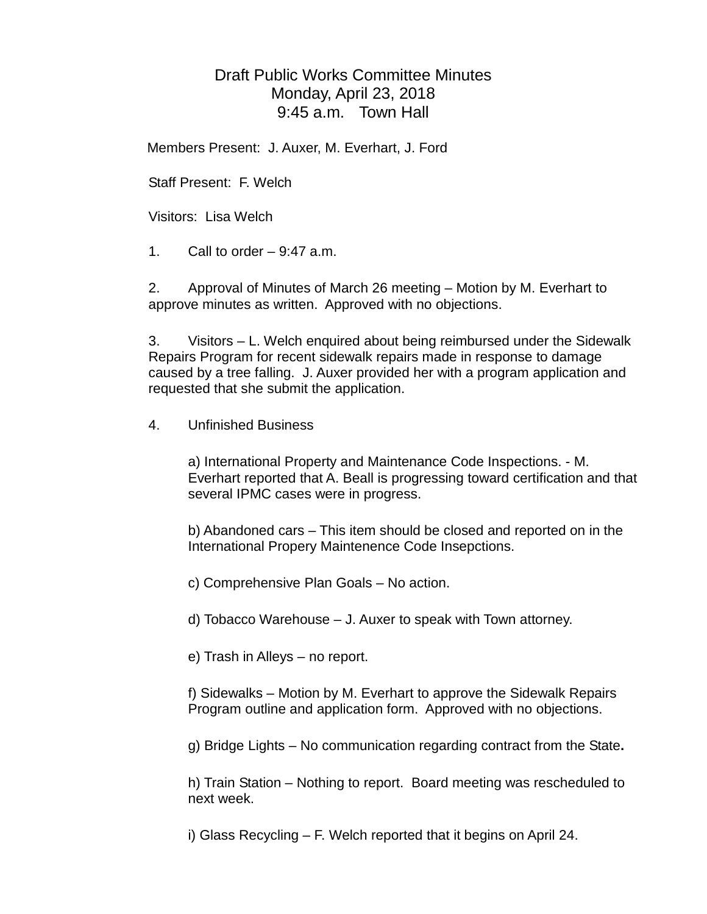## Draft Public Works Committee Minutes Monday, April 23, 2018 9:45 a.m. Town Hall

Members Present: J. Auxer, M. Everhart, J. Ford

Staff Present: F. Welch

Visitors: Lisa Welch

1. Call to order  $-9:47$  a.m.

2. Approval of Minutes of March 26 meeting – Motion by M. Everhart to approve minutes as written. Approved with no objections.

3. Visitors – L. Welch enquired about being reimbursed under the Sidewalk Repairs Program for recent sidewalk repairs made in response to damage caused by a tree falling. J. Auxer provided her with a program application and requested that she submit the application.

## 4. Unfinished Business

a) International Property and Maintenance Code Inspections. - M. Everhart reported that A. Beall is progressing toward certification and that several IPMC cases were in progress.

b) Abandoned cars – This item should be closed and reported on in the International Propery Maintenence Code Insepctions.

c) Comprehensive Plan Goals – No action.

d) Tobacco Warehouse – J. Auxer to speak with Town attorney.

e) Trash in Alleys – no report.

f) Sidewalks – Motion by M. Everhart to approve the Sidewalk Repairs Program outline and application form. Approved with no objections.

g) Bridge Lights – No communication regarding contract from the State**.**

h) Train Station – Nothing to report. Board meeting was rescheduled to next week.

i) Glass Recycling – F. Welch reported that it begins on April 24.